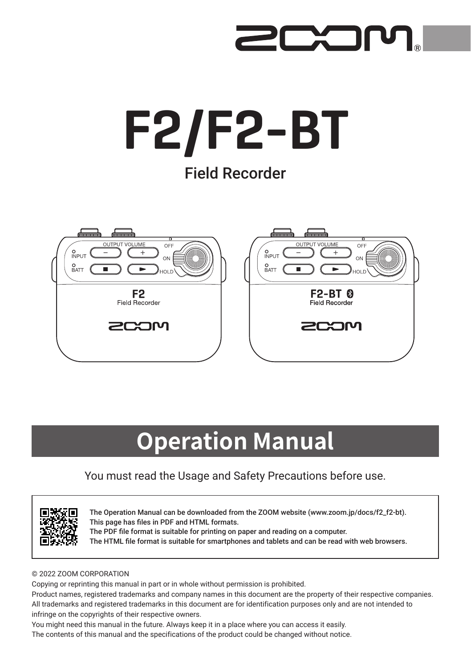

# F2/F2-BT Field Recorder



## **Operation Manual**

### You must read the Usage and Safety Precautions before use.



The Operation Manual can be downloaded from the ZOOM website ([www.zoom.jp/docs/f2\\_f2-bt](https://www.zoom.jp/docs/f2_f2-bt)). This page has files in PDF and HTML formats. The PDF file format is suitable for printing on paper and reading on a computer. The HTML file format is suitable for smartphones and tablets and can be read with web browsers.

#### © 2022 ZOOM CORPORATION

Copying or reprinting this manual in part or in whole without permission is prohibited.

Product names, registered trademarks and company names in this document are the property of their respective companies. All trademarks and registered trademarks in this document are for identification purposes only and are not intended to infringe on the copyrights of their respective owners.

You might need this manual in the future. Always keep it in a place where you can access it easily.

The contents of this manual and the specifications of the product could be changed without notice.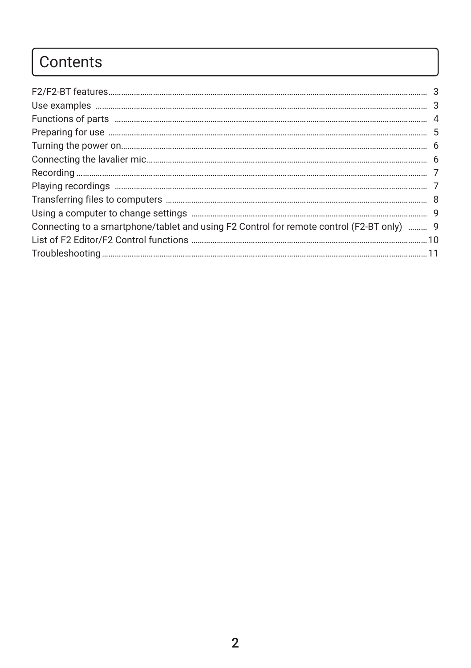### Contents

| Connecting to a smartphone/tablet and using F2 Control for remote control (F2-BT only)  9 |  |
|-------------------------------------------------------------------------------------------|--|
|                                                                                           |  |
|                                                                                           |  |
|                                                                                           |  |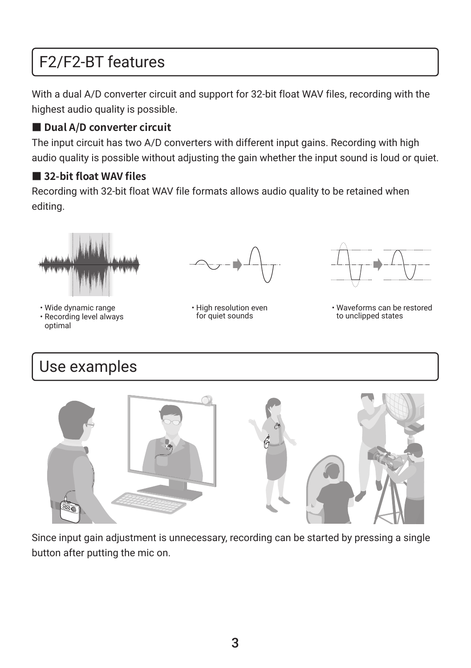### <span id="page-2-0"></span>F2/F2-BT features

With a dual A/D converter circuit and support for 32-bit float WAV files, recording with the highest audio quality is possible.

### ■ Dual A/D converter circuit

The input circuit has two A/D converters with different input gains. Recording with high audio quality is possible without adjusting the gain whether the input sound is loud or quiet.

### ■ 32-bit float WAV files

Recording with 32-bit float WAV file formats allows audio quality to be retained when editing.



• Wide dynamic range • Recording level always optimal



• High resolution even for quiet sounds



• Waveforms can be restored to unclipped states

### Use examples



Since input gain adjustment is unnecessary, recording can be started by pressing a single button after putting the mic on.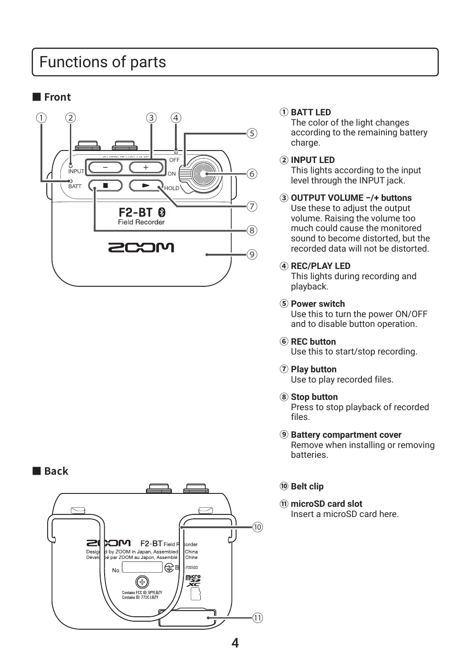### <span id="page-3-0"></span>Functions of parts

### **■ Front**



### **■ Back**



according to the remaining battery charge.

#### **② INPUT LED**

This lights according to the input level through the INPUT jack.

**③ OUTPUT VOLUME −/+ buttons** Use these to adjust the output volume. Raising the volume too much could cause the monitored sound to become distorted, but the recorded data will not be distorted.

#### **④ REC/PLAY LED**

This lights during recording and playback.

**⑤ Power switch**

Use this to turn the power ON/OFF and to disable button operation.

**⑥ REC button**

Use this to start/stop recording.

**⑦ Play button**

Use to play recorded files.

**⑧ Stop button**

Press to stop playback of recorded files.

### **⑨ Battery compartment cover**

Remove when installing or removing batteries.

#### **⑩ Belt clip**

**⑪ microSD card slot** Insert a microSD card here.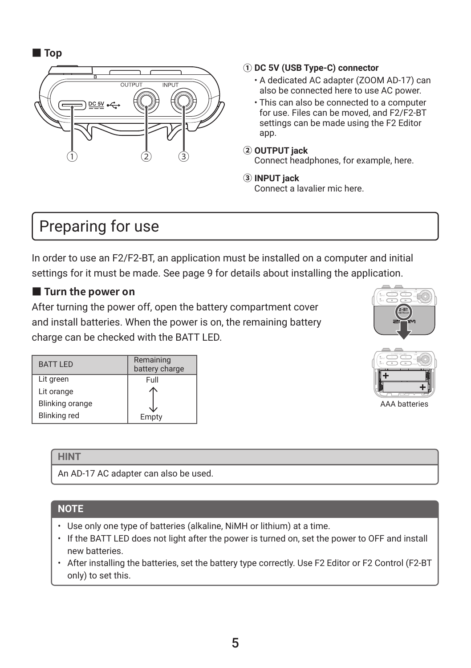### <span id="page-4-0"></span>**■ Top**



### **① DC 5V (USB Type-C) connector**

- A dedicated AC adapter (ZOOM AD-17) can also be connected here to use AC power.
- This can also be connected to a computer for use. Files can be moved, and F2/F2-BT settings can be made using the F2 Editor app.
- **② OUTPUT jack** Connect headphones, for example, here.
- **③ INPUT jack** Connect a lavalier mic here.

### Preparing for use

In order to use an F2/F2-BT, an application must be installed on a computer and initial settings for it must be made. See [page 9](#page-8-0) for details about installing the application.

### **■ Turn the power on**

After turning the power off, open the battery compartment cover and install batteries. When the power is on, the remaining battery charge can be checked with the BATT LED.

| OUTHUT VOLUME<br>OFF<br>Pour<br>÷<br>÷<br>ces<br>8 <sub>TT</sub><br>Ξ<br>$\sim$<br>ò. |
|---------------------------------------------------------------------------------------|
| $2 - BT$<br>'nМ<br>a                                                                  |
|                                                                                       |

| <b>BATT LED</b>        | Remaining<br>battery charge |  |
|------------------------|-----------------------------|--|
| Lit green              | Full                        |  |
| Lit orange             |                             |  |
| <b>Blinking orange</b> |                             |  |
| <b>Blinking red</b>    | Empty                       |  |



AAA batteries

### **HINT**

An AD-17 AC adapter can also be used.

### **NOTE**

- Use only one type of batteries (alkaline, NiMH or lithium) at a time.
- If the BATT LED does not light after the power is turned on, set the power to OFF and install new batteries.
- After installing the batteries, set the battery type correctly. Use F2 Editor or F2 Control (F2-BT only) to set this.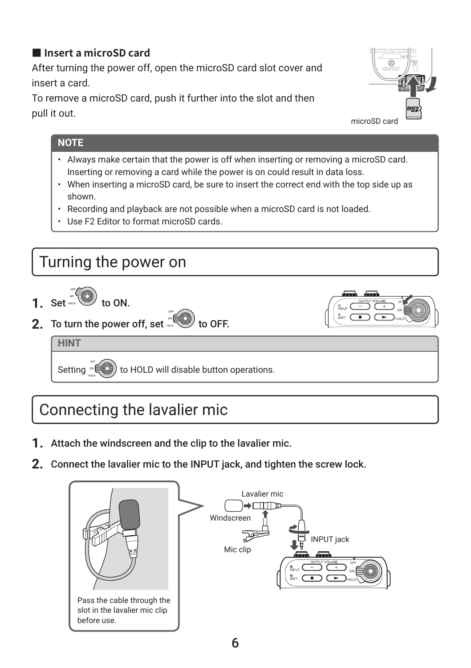### <span id="page-5-0"></span>**■ Insert a microSD card**

After turning the power off, open the microSD card slot cover and insert a card.

To remove a microSD card, push it further into the slot and then pull it out.



### **NOTE**

- Always make certain that the power is off when inserting or removing a microSD card. Inserting or removing a card while the power is on could result in data loss.
- When inserting a microSD card, be sure to insert the correct end with the top side up as shown.
- Recording and playback are not possible when a microSD card is not loaded.
- Use F2 Editor to format microSD cards.



### Connecting the lavalier mic

- **1.** Attach the windscreen and the clip to the lavalier mic.
- **2.** Connect the lavalier mic to the INPUT jack, and tighten the screw lock.

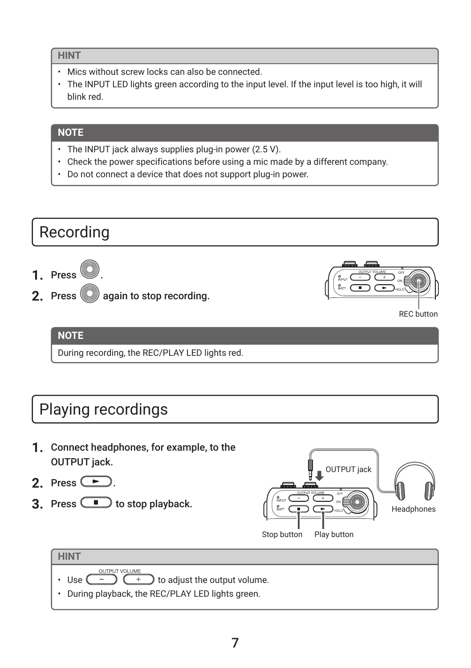### <span id="page-6-0"></span>**HINT**

- Mics without screw locks can also be connected.
- The INPUT LED lights green according to the input level. If the input level is too high, it will blink red.

### **NOTE**

- The INPUT jack always supplies plug-in power (2.5 V).
- Check the power specifications before using a mic made by a different company.
- Do not connect a device that does not support plug-in power.



### REC button

### **NOTE**

During recording, the REC/PLAY LED lights red.

### Playing recordings

- **1.** Connect headphones, for example, to the OUTPUT jack.
- 2. Press  $\left(\frac{P}{P}\right)$
- **3.** Press  $\Box$  to stop playback.





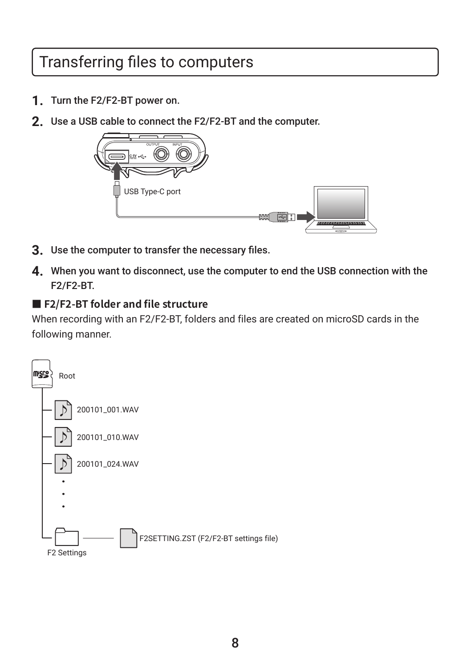### <span id="page-7-0"></span>Transferring files to computers

- **1.** Turn the F2/F2-BT power on.
- **2.** Use a USB cable to connect the F2/F2-BT and the computer.



- **3.** Use the computer to transfer the necessary files.
- **4.** When you want to disconnect, use the computer to end the USB connection with the F2/F2-BT.

### **■ F2/F2-BT folder and file structure**

When recording with an F2/F2-BT, folders and files are created on microSD cards in the following manner.

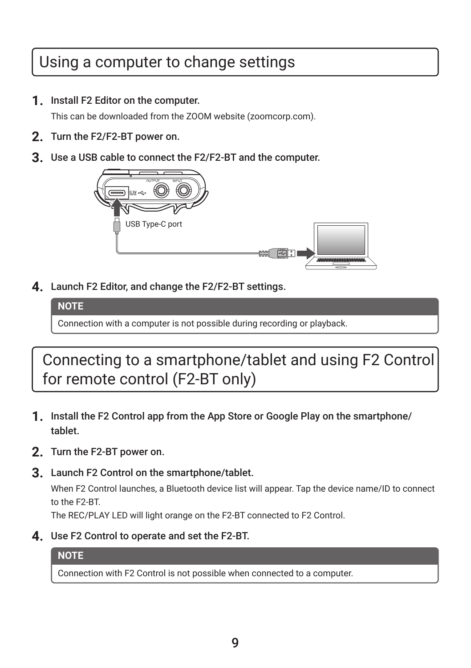### <span id="page-8-0"></span>Using a computer to change settings

**1.** Install F2 Editor on the computer.

This can be downloaded from the ZOOM website [\(zoomcorp.com\)](http://zoomcorp.com).

- **2.** Turn the F2/F2-BT power on.
- **3.** Use a USB cable to connect the F2/F2-BT and the computer.



**4.** Launch F2 Editor, and change the F2/F2-BT settings.

**NOTE**

Connection with a computer is not possible during recording or playback.

Connecting to a smartphone/tablet and using F2 Control for remote control (F2-BT only)

- **1.** Install the F2 Control app from the App Store or Google Play on the smartphone/ tablet.
- **2.** Turn the F2-BT power on.
- **3.** Launch F2 Control on the smartphone/tablet.

When F2 Control launches, a Bluetooth device list will appear. Tap the device name/ID to connect to the F2-BT.

The REC/PLAY LED will light orange on the F2-BT connected to F2 Control.

**4.** Use F2 Control to operate and set the F2-BT.

### **NOTE**

Connection with F2 Control is not possible when connected to a computer.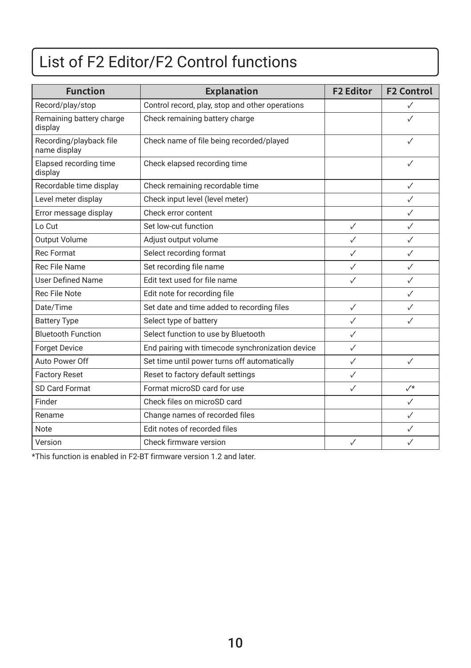### <span id="page-9-0"></span>List of F2 Editor/F2 Control functions

| <b>Function</b>                         | <b>Explanation</b>                               | <b>F2 Editor</b> | <b>F2 Control</b> |
|-----------------------------------------|--------------------------------------------------|------------------|-------------------|
| Record/play/stop                        | Control record, play, stop and other operations  |                  | ✓                 |
| Remaining battery charge<br>display     | Check remaining battery charge                   |                  | ✓                 |
| Recording/playback file<br>name display | Check name of file being recorded/played         |                  | ✓                 |
| Elapsed recording time<br>display       | Check elapsed recording time                     |                  | ✓                 |
| Recordable time display                 | Check remaining recordable time                  |                  | ✓                 |
| Level meter display                     | Check input level (level meter)                  |                  | $\checkmark$      |
| Error message display                   | Check error content                              |                  | $\checkmark$      |
| Lo Cut                                  | Set low-cut function                             | $\checkmark$     | ✓                 |
| Output Volume                           | Adjust output volume                             | $\checkmark$     | $\checkmark$      |
| Rec Format                              | Select recording format                          | $\checkmark$     | $\checkmark$      |
| Rec File Name                           | Set recording file name                          | $\checkmark$     | ✓                 |
| <b>User Defined Name</b>                | Edit text used for file name                     | $\checkmark$     | ✓                 |
| Rec File Note                           | Edit note for recording file                     |                  | ✓                 |
| Date/Time                               | Set date and time added to recording files       | $\checkmark$     | ✓                 |
| <b>Battery Type</b>                     | Select type of battery                           | $\checkmark$     | $\checkmark$      |
| <b>Bluetooth Function</b>               | Select function to use by Bluetooth              | $\checkmark$     |                   |
| <b>Forget Device</b>                    | End pairing with timecode synchronization device | $\checkmark$     |                   |
| Auto Power Off                          | Set time until power turns off automatically     | $\checkmark$     | $\checkmark$      |
| <b>Factory Reset</b>                    | Reset to factory default settings                | $\checkmark$     |                   |
| SD Card Format                          | Format microSD card for use                      | $\checkmark$     | $\sqrt{*}$        |
| Finder                                  | Check files on microSD card                      |                  | ✓                 |
| Rename                                  | Change names of recorded files                   |                  | $\checkmark$      |
| <b>Note</b>                             | Edit notes of recorded files                     |                  | $\checkmark$      |
| Version                                 | Check firmware version                           | √                | ✓                 |

\*This function is enabled in F2-BT firmware version 1.2 and later.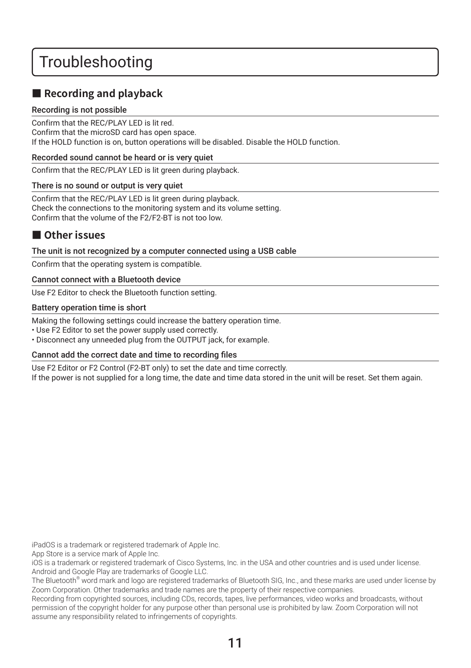### <span id="page-10-0"></span>Troubleshooting

### ■ Recording and playback

#### Recording is not possible

Confirm that the REC/PLAY LED is lit red. Confirm that the microSD card has open space. If the HOLD function is on, button operations will be disabled. Disable the HOLD function.

#### Recorded sound cannot be heard or is very quiet

Confirm that the REC/PLAY LED is lit green during playback.

#### There is no sound or output is very quiet

Confirm that the REC/PLAY LED is lit green during playback. Check the connections to the monitoring system and its volume setting. Confirm that the volume of the F2/F2-BT is not too low.

### **■ Other issues**

#### The unit is not recognized by a computer connected using a USB cable

Confirm that the operating system is compatible.

#### Cannot connect with a Bluetooth device

Use F2 Editor to check the Bluetooth function setting.

#### Battery operation time is short

Making the following settings could increase the battery operation time.

• Use F2 Editor to set the power supply used correctly.

• Disconnect any unneeded plug from the OUTPUT jack, for example.

#### Cannot add the correct date and time to recording files

Use F2 Editor or F2 Control (F2-BT only) to set the date and time correctly. If the power is not supplied for a long time, the date and time data stored in the unit will be reset. Set them again.

iPadOS is a trademark or registered trademark of Apple Inc.

App Store is a service mark of Apple Inc.

iOS is a trademark or registered trademark of Cisco Systems, Inc. in the USA and other countries and is used under license. Android and Google Play are trademarks of Google LLC.

The Bluetooth® word mark and logo are registered trademarks of Bluetooth SIG, Inc., and these marks are used under license by Zoom Corporation. Other trademarks and trade names are the property of their respective companies.

Recording from copyrighted sources, including CDs, records, tapes, live performances, video works and broadcasts, without permission of the copyright holder for any purpose other than personal use is prohibited by law. Zoom Corporation will not assume any responsibility related to infringements of copyrights.